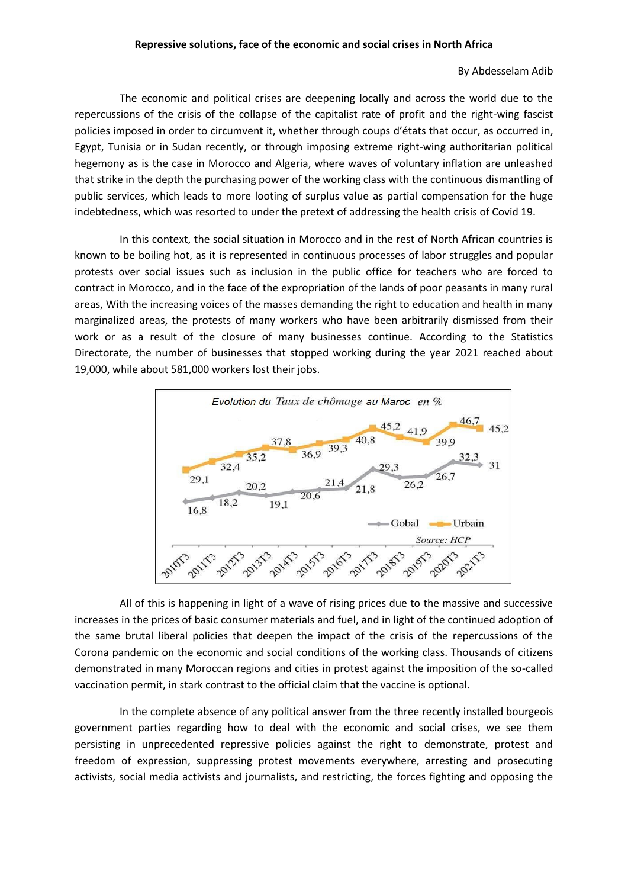## By Abdesselam Adib

The economic and political crises are deepening locally and across the world due to the repercussions of the crisis of the collapse of the capitalist rate of profit and the right-wing fascist policies imposed in order to circumvent it, whether through coups d'états that occur, as occurred in, Egypt, Tunisia or in Sudan recently, or through imposing extreme right-wing authoritarian political hegemony as is the case in Morocco and Algeria, where waves of voluntary inflation are unleashed that strike in the depth the purchasing power of the working class with the continuous dismantling of public services, which leads to more looting of surplus value as partial compensation for the huge indebtedness, which was resorted to under the pretext of addressing the health crisis of Covid 19.

In this context, the social situation in Morocco and in the rest of North African countries is known to be boiling hot, as it is represented in continuous processes of labor struggles and popular protests over social issues such as inclusion in the public office for teachers who are forced to contract in Morocco, and in the face of the expropriation of the lands of poor peasants in many rural areas, With the increasing voices of the masses demanding the right to education and health in many marginalized areas, the protests of many workers who have been arbitrarily dismissed from their work or as a result of the closure of many businesses continue. According to the Statistics Directorate, the number of businesses that stopped working during the year 2021 reached about 19,000, while about 581,000 workers lost their jobs.



All of this is happening in light of a wave of rising prices due to the massive and successive increases in the prices of basic consumer materials and fuel, and in light of the continued adoption of the same brutal liberal policies that deepen the impact of the crisis of the repercussions of the Corona pandemic on the economic and social conditions of the working class. Thousands of citizens demonstrated in many Moroccan regions and cities in protest against the imposition of the so-called vaccination permit, in stark contrast to the official claim that the vaccine is optional.

In the complete absence of any political answer from the three recently installed bourgeois government parties regarding how to deal with the economic and social crises, we see them persisting in unprecedented repressive policies against the right to demonstrate, protest and freedom of expression, suppressing protest movements everywhere, arresting and prosecuting activists, social media activists and journalists, and restricting, the forces fighting and opposing the